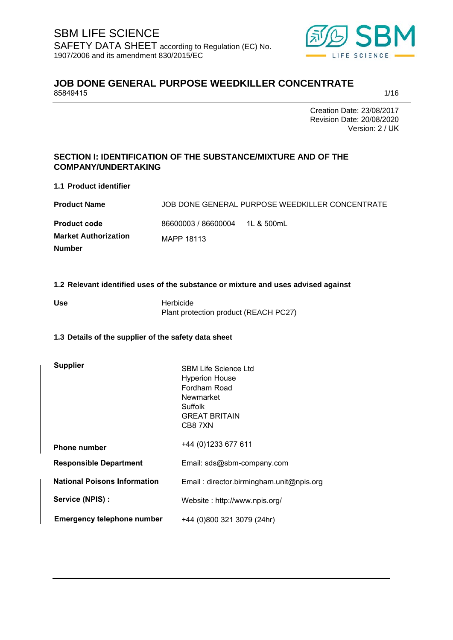

# **JOB DONE GENERAL PURPOSE WEEDKILLER CONCENTRATE** 85849415 85849415 1/16

Creation Date: 23/08/2017 Revision Date: 20/08/2020 Version: 2 / UK

# **SECTION I: IDENTIFICATION OF THE SUBSTANCE/MIXTURE AND OF THE COMPANY/UNDERTAKING**

**1.1 Product identifier**

| <b>Product Name</b>         |                     | JOB DONE GENERAL PURPOSE WEEDKILLER CONCENTRATE |
|-----------------------------|---------------------|-------------------------------------------------|
| <b>Product code</b>         | 86600003 / 86600004 | 1L & 500mL                                      |
| <b>Market Authorization</b> | MAPP 18113          |                                                 |
| <b>Number</b>               |                     |                                                 |

**1.2 Relevant identified uses of the substance or mixture and uses advised against** 

Use **Herbicide** Plant protection product (REACH PC27)

## **1.3 Details of the supplier of the safety data sheet**

| <b>Supplier</b>                     | <b>SBM Life Science Ltd</b><br><b>Hyperion House</b><br>Fordham Road<br>Newmarket<br>Suffolk<br><b>GREAT BRITAIN</b><br>CB87XN |
|-------------------------------------|--------------------------------------------------------------------------------------------------------------------------------|
| <b>Phone number</b>                 | +44 (0)1233 677 611                                                                                                            |
| <b>Responsible Department</b>       | Email: sds@sbm-company.com                                                                                                     |
| <b>National Poisons Information</b> | Email: director.birmingham.unit@npis.org                                                                                       |
| Service (NPIS) :                    | Website: http://www.npis.org/                                                                                                  |
| <b>Emergency telephone number</b>   | +44 (0)800 321 3079 (24hr)                                                                                                     |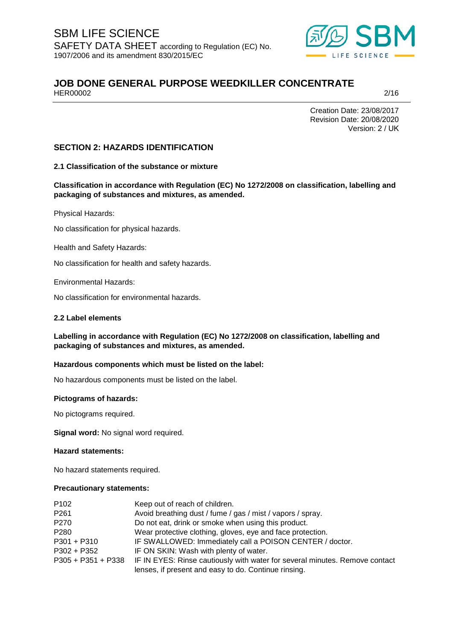

# **JOB DONE GENERAL PURPOSE WEEDKILLER CONCENTRATE**<br>HER00002 HER00002 2/16

Creation Date: 23/08/2017 Revision Date: 20/08/2020 Version: 2 / UK

## **SECTION 2: HAZARDS IDENTIFICATION**

**2.1 Classification of the substance or mixture**

**Classification in accordance with Regulation (EC) No 1272/2008 on classification, labelling and packaging of substances and mixtures, as amended.** 

Physical Hazards:

No classification for physical hazards.

Health and Safety Hazards:

No classification for health and safety hazards.

Environmental Hazards:

No classification for environmental hazards.

#### **2.2 Label elements**

**Labelling in accordance with Regulation (EC) No 1272/2008 on classification, labelling and packaging of substances and mixtures, as amended.** 

### **Hazardous components which must be listed on the label:**

No hazardous components must be listed on the label.

### **Pictograms of hazards:**

No pictograms required.

**Signal word:** No signal word required.

**Hazard statements:** 

No hazard statements required.

#### **Precautionary statements:**

| P <sub>102</sub> | Keep out of reach of children.                                                                 |
|------------------|------------------------------------------------------------------------------------------------|
| P <sub>261</sub> | Avoid breathing dust / fume / gas / mist / vapors / spray.                                     |
| P270             | Do not eat, drink or smoke when using this product.                                            |
| P280             | Wear protective clothing, gloves, eye and face protection.                                     |
| $P301 + P310$    | IF SWALLOWED: Immediately call a POISON CENTER / doctor.                                       |
| P302 + P352      | IF ON SKIN: Wash with plenty of water.                                                         |
|                  | P305 + P351 + P338 IF IN EYES: Rinse cautiously with water for several minutes. Remove contact |
|                  | lenses, if present and easy to do. Continue rinsing.                                           |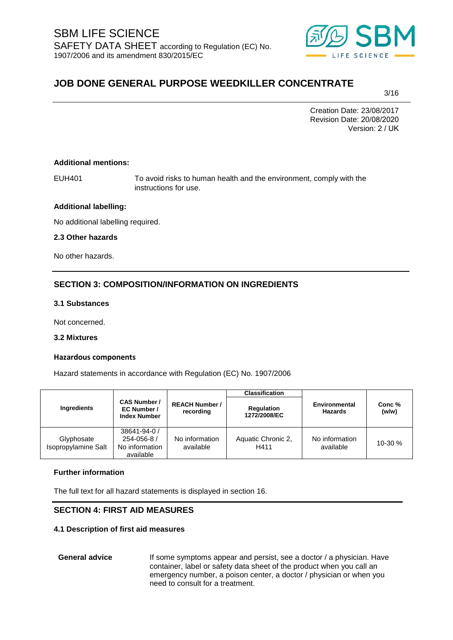

3/16

Creation Date: 23/08/2017 Revision Date: 20/08/2020 Version: 2 / UK

### **Additional mentions:**

EUH401 To avoid risks to human health and the environment, comply with the instructions for use.

### **Additional labelling:**

No additional labelling required.

### **2.3 Other hazards**

No other hazards.

## **SECTION 3: COMPOSITION/INFORMATION ON INGREDIENTS**

### **3.1 Substances**

Not concerned.

### **3.2 Mixtures**

### **Hazardous components**

Hazard statements in accordance with Regulation (EC) No. 1907/2006

|                                   |                                                            |                                    | <b>Classification</b>             |                                 |                 |
|-----------------------------------|------------------------------------------------------------|------------------------------------|-----------------------------------|---------------------------------|-----------------|
| Ingredients                       | <b>CAS Number /</b><br>EC Number /<br><b>Index Number</b>  | <b>REACH Number /</b><br>recording | <b>Regulation</b><br>1272/2008/EC | Environmental<br><b>Hazards</b> | Conc %<br>(w/w) |
| Glyphosate<br>Isopropylamine Salt | 38641-94-0 /<br>254-056-8 /<br>No information<br>available | No information<br>available        | Aquatic Chronic 2,<br>H411        | No information<br>available     | $10-30%$        |

### **Further information**

The full text for all hazard statements is displayed in section 16.

## **SECTION 4: FIRST AID MEASURES**

### **4.1 Description of first aid measures**

General advice **If some symptoms appear and persist, see a doctor / a physician. Have** container, label or safety data sheet of the product when you call an emergency number, a poison center, a doctor / physician or when you need to consult for a treatment.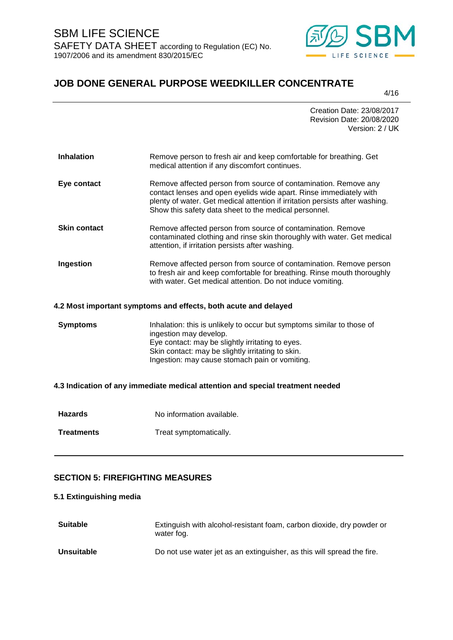

4/16

|                     | Creation Date: 23/08/2017<br>Revision Date: 20/08/2020<br>Version: 2 / UK                                                                                                                                                                                                      |
|---------------------|--------------------------------------------------------------------------------------------------------------------------------------------------------------------------------------------------------------------------------------------------------------------------------|
| <b>Inhalation</b>   | Remove person to fresh air and keep comfortable for breathing. Get<br>medical attention if any discomfort continues.                                                                                                                                                           |
| Eye contact         | Remove affected person from source of contamination. Remove any<br>contact lenses and open eyelids wide apart. Rinse immediately with<br>plenty of water. Get medical attention if irritation persists after washing.<br>Show this safety data sheet to the medical personnel. |
| <b>Skin contact</b> | Remove affected person from source of contamination. Remove<br>contaminated clothing and rinse skin thoroughly with water. Get medical<br>attention, if irritation persists after washing.                                                                                     |
| Ingestion           | Remove affected person from source of contamination. Remove person<br>to fresh air and keep comfortable for breathing. Rinse mouth thoroughly<br>with water. Get medical attention. Do not induce vomiting.                                                                    |
|                     |                                                                                                                                                                                                                                                                                |

### **4.2 Most important symptoms and effects, both acute and delayed**

**Symptoms** Inhalation: this is unlikely to occur but symptoms similar to those of ingestion may develop. Eye contact: may be slightly irritating to eyes. Skin contact: may be slightly irritating to skin. Ingestion: may cause stomach pain or vomiting.

### **4.3 Indication of any immediate medical attention and special treatment needed**

**Hazards** No information available. **Treatments** Treat symptomatically.

## **SECTION 5: FIREFIGHTING MEASURES**

## **5.1 Extinguishing media**

| <b>Suitable</b>   | Extinguish with alcohol-resistant foam, carbon dioxide, dry powder or<br>water fog. |
|-------------------|-------------------------------------------------------------------------------------|
| <b>Unsuitable</b> | Do not use water jet as an extinguisher, as this will spread the fire.              |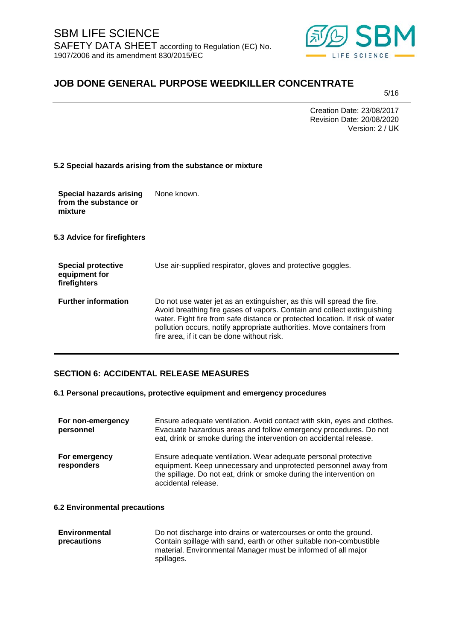

5/16

Creation Date: 23/08/2017 Revision Date: 20/08/2020 Version: 2 / UK

|  |  |  | 5.2 Special hazards arising from the substance or mixture |  |
|--|--|--|-----------------------------------------------------------|--|
|  |  |  |                                                           |  |

| <b>Special hazards arising</b> | None known. |
|--------------------------------|-------------|
| from the substance or          |             |
| mixture                        |             |

**5.3 Advice for firefighters**

| <b>Special protective</b><br>equipment for<br>firefighters | Use air-supplied respirator, gloves and protective goggles.                                                                                                                                                                                                                                                                                               |
|------------------------------------------------------------|-----------------------------------------------------------------------------------------------------------------------------------------------------------------------------------------------------------------------------------------------------------------------------------------------------------------------------------------------------------|
| <b>Further information</b>                                 | Do not use water jet as an extinguisher, as this will spread the fire.<br>Avoid breathing fire gases of vapors. Contain and collect extinguishing<br>water. Fight fire from safe distance or protected location. If risk of water<br>pollution occurs, notify appropriate authorities. Move containers from<br>fire area, if it can be done without risk. |

## **SECTION 6: ACCIDENTAL RELEASE MEASURES**

### **6.1 Personal precautions, protective equipment and emergency procedures**

| For non-emergency<br>personnel | Ensure adequate ventilation. Avoid contact with skin, eyes and clothes.<br>Evacuate hazardous areas and follow emergency procedures. Do not<br>eat, drink or smoke during the intervention on accidental release.               |
|--------------------------------|---------------------------------------------------------------------------------------------------------------------------------------------------------------------------------------------------------------------------------|
| For emergency<br>responders    | Ensure adequate ventilation. Wear adequate personal protective<br>equipment. Keep unnecessary and unprotected personnel away from<br>the spillage. Do not eat, drink or smoke during the intervention on<br>accidental release. |

### **6.2 Environmental precautions**

| Environmental | Do not discharge into drains or watercourses or onto the ground.    |
|---------------|---------------------------------------------------------------------|
| precautions   | Contain spillage with sand, earth or other suitable non-combustible |
|               | material. Environmental Manager must be informed of all major       |
|               | spillages.                                                          |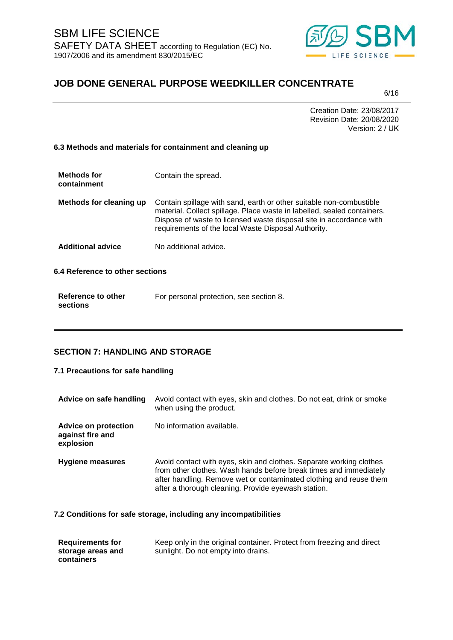

6/16

Creation Date: 23/08/2017 Revision Date: 20/08/2020 Version: 2 / UK

### **6.3 Methods and materials for containment and cleaning up**

| <b>Methods for</b><br>containment | Contain the spread.                                                                                                                                                                                                                                                          |
|-----------------------------------|------------------------------------------------------------------------------------------------------------------------------------------------------------------------------------------------------------------------------------------------------------------------------|
| Methods for cleaning up           | Contain spillage with sand, earth or other suitable non-combustible<br>material. Collect spillage. Place waste in labelled, sealed containers.<br>Dispose of waste to licensed waste disposal site in accordance with<br>requirements of the local Waste Disposal Authority. |
| <b>Additional advice</b>          | No additional advice.                                                                                                                                                                                                                                                        |
| 6.4 Reference to other sections   |                                                                                                                                                                                                                                                                              |

| Reference to other | For personal protection, see section 8. |
|--------------------|-----------------------------------------|
| sections           |                                         |

## **SECTION 7: HANDLING AND STORAGE**

## **7.1 Precautions for safe handling**

| Advice on safe handling                                      | Avoid contact with eyes, skin and clothes. Do not eat, drink or smoke<br>when using the product.                                                                                                                                                                      |
|--------------------------------------------------------------|-----------------------------------------------------------------------------------------------------------------------------------------------------------------------------------------------------------------------------------------------------------------------|
| <b>Advice on protection</b><br>against fire and<br>explosion | No information available.                                                                                                                                                                                                                                             |
| <b>Hygiene measures</b>                                      | Avoid contact with eyes, skin and clothes. Separate working clothes<br>from other clothes. Wash hands before break times and immediately<br>after handling. Remove wet or contaminated clothing and reuse them<br>after a thorough cleaning. Provide eyewash station. |

**7.2 Conditions for safe storage, including any incompatibilities** 

| <b>Requirements for</b> | Keep only in the original container. Protect from freezing and direct |
|-------------------------|-----------------------------------------------------------------------|
| storage areas and       | sunlight. Do not empty into drains.                                   |
| containers              |                                                                       |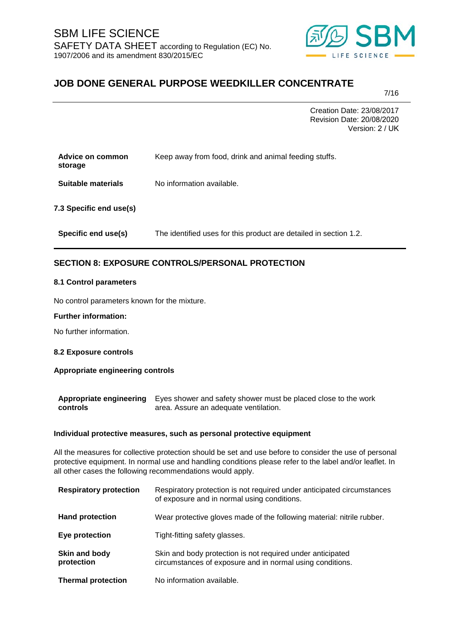

7/16

Creation Date: 23/08/2017 Revision Date: 20/08/2020 Version: 2 / UK

| Advice on common<br>storage | Keep away from food, drink and animal feeding stuffs.             |
|-----------------------------|-------------------------------------------------------------------|
| <b>Suitable materials</b>   | No information available.                                         |
| 7.3 Specific end use(s)     |                                                                   |
| Specific end use(s)         | The identified uses for this product are detailed in section 1.2. |

# **SECTION 8: EXPOSURE CONTROLS/PERSONAL PROTECTION**

### **8.1 Control parameters**

No control parameters known for the mixture.

### **Further information:**

No further information.

### **8.2 Exposure controls**

### **Appropriate engineering controls**

Appropriate engineering Eyes shower and safety shower must be placed close to the work **controls** area. Assure an adequate ventilation.

### **Individual protective measures, such as personal protective equipment**

All the measures for collective protection should be set and use before to consider the use of personal protective equipment. In normal use and handling conditions please refer to the label and/or leaflet. In all other cases the following recommendations would apply.

| <b>Respiratory protection</b> | Respiratory protection is not required under anticipated circumstances<br>of exposure and in normal using conditions.   |
|-------------------------------|-------------------------------------------------------------------------------------------------------------------------|
| <b>Hand protection</b>        | Wear protective gloves made of the following material: nitrile rubber.                                                  |
| Eye protection                | Tight-fitting safety glasses.                                                                                           |
| Skin and body<br>protection   | Skin and body protection is not required under anticipated<br>circumstances of exposure and in normal using conditions. |
| <b>Thermal protection</b>     | No information available.                                                                                               |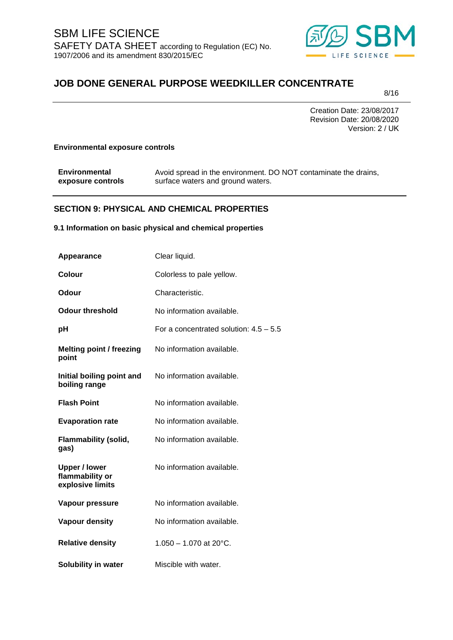

8/16

Creation Date: 23/08/2017 Revision Date: 20/08/2020 Version: 2 / UK

### **Environmental exposure controls**

| <b>Environmental</b> | Avoid spread in the environment. DO NOT contaminate the drains, |
|----------------------|-----------------------------------------------------------------|
| exposure controls    | surface waters and ground waters.                               |

## **SECTION 9: PHYSICAL AND CHEMICAL PROPERTIES**

### **9.1 Information on basic physical and chemical properties**

| Appearance                                                  | Clear liquid.                            |
|-------------------------------------------------------------|------------------------------------------|
| <b>Colour</b>                                               | Colorless to pale yellow.                |
| Odour                                                       | Characteristic.                          |
| <b>Odour threshold</b>                                      | No information available.                |
| рH                                                          | For a concentrated solution: $4.5 - 5.5$ |
| <b>Melting point / freezing</b><br>point                    | No information available.                |
| Initial boiling point and<br>boiling range                  | No information available.                |
| <b>Flash Point</b>                                          | No information available.                |
| <b>Evaporation rate</b>                                     | No information available.                |
| <b>Flammability (solid,</b><br>gas)                         | No information available.                |
| <b>Upper / lower</b><br>flammability or<br>explosive limits | No information available.                |
| Vapour pressure                                             | No information available.                |
| Vapour density                                              | No information available.                |
| <b>Relative density</b>                                     | $1.050 - 1.070$ at 20°C.                 |
| Solubility in water                                         | Miscible with water.                     |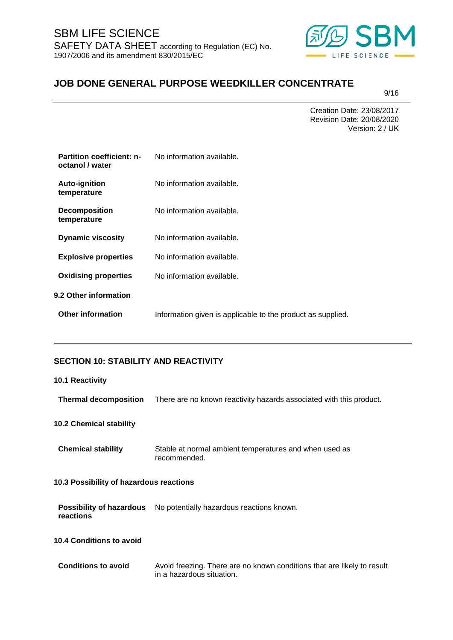

9/16

Creation Date: 23/08/2017 Revision Date: 20/08/2020 Version: 2 / UK

| <b>Partition coefficient: n-</b><br>octanol / water | No information available.                                   |
|-----------------------------------------------------|-------------------------------------------------------------|
| <b>Auto-ignition</b><br>temperature                 | No information available.                                   |
| <b>Decomposition</b><br>temperature                 | No information available.                                   |
| <b>Dynamic viscosity</b>                            | No information available.                                   |
| <b>Explosive properties</b>                         | No information available.                                   |
| <b>Oxidising properties</b>                         | No information available.                                   |
| 9.2 Other information                               |                                                             |
| <b>Other information</b>                            | Information given is applicable to the product as supplied. |

# **SECTION 10: STABILITY AND REACTIVITY**

| 10.1 Reactivity                              |                                                                                                      |
|----------------------------------------------|------------------------------------------------------------------------------------------------------|
| <b>Thermal decomposition</b>                 | There are no known reactivity hazards associated with this product.                                  |
| <b>10.2 Chemical stability</b>               |                                                                                                      |
| <b>Chemical stability</b>                    | Stable at normal ambient temperatures and when used as<br>recommended.                               |
| 10.3 Possibility of hazardous reactions      |                                                                                                      |
| <b>Possibility of hazardous</b><br>reactions | No potentially hazardous reactions known.                                                            |
| <b>10.4 Conditions to avoid</b>              |                                                                                                      |
| <b>Conditions to avoid</b>                   | Avoid freezing. There are no known conditions that are likely to result<br>in a hazardous situation. |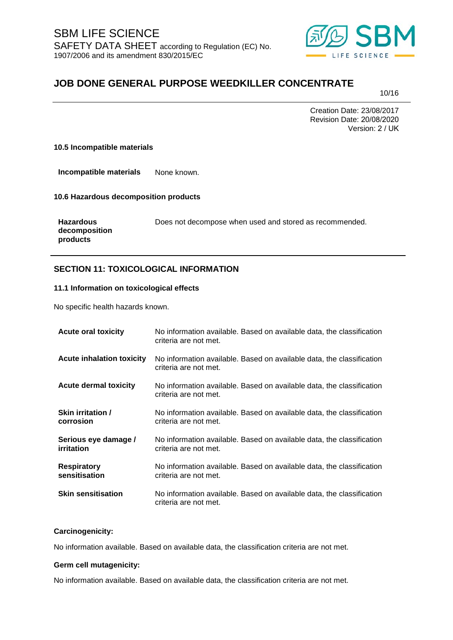

10/16

Creation Date: 23/08/2017 Revision Date: 20/08/2020 Version: 2 / UK

### **10.5 Incompatible materials**

**Incompatible materials** None known.

**10.6 Hazardous decomposition products** 

| <b>Hazardous</b> |
|------------------|
| decomposition    |
| products         |

Does not decompose when used and stored as recommended.

## **SECTION 11: TOXICOLOGICAL INFORMATION**

### **11.1 Information on toxicological effects**

No specific health hazards known.

| <b>Acute oral toxicity</b>          | No information available. Based on available data, the classification<br>criteria are not met. |
|-------------------------------------|------------------------------------------------------------------------------------------------|
| <b>Acute inhalation toxicity</b>    | No information available. Based on available data, the classification<br>criteria are not met. |
| <b>Acute dermal toxicity</b>        | No information available. Based on available data, the classification<br>criteria are not met. |
| Skin irritation /<br>corrosion      | No information available. Based on available data, the classification<br>criteria are not met. |
| Serious eye damage /<br>irritation  | No information available. Based on available data, the classification<br>criteria are not met. |
| <b>Respiratory</b><br>sensitisation | No information available. Based on available data, the classification<br>criteria are not met. |
| <b>Skin sensitisation</b>           | No information available. Based on available data, the classification<br>criteria are not met. |

### **Carcinogenicity:**

No information available. Based on available data, the classification criteria are not met.

### **Germ cell mutagenicity:**

No information available. Based on available data, the classification criteria are not met.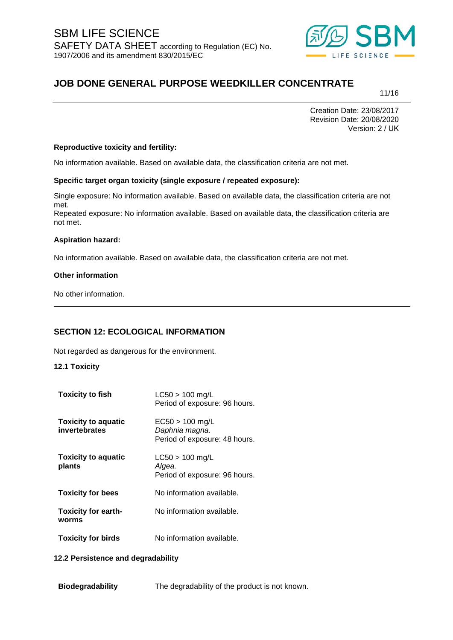

11/16

Creation Date: 23/08/2017 Revision Date: 20/08/2020 Version: 2 / UK

### **Reproductive toxicity and fertility:**

No information available. Based on available data, the classification criteria are not met.

### **Specific target organ toxicity (single exposure / repeated exposure):**

Single exposure: No information available. Based on available data, the classification criteria are not met.

Repeated exposure: No information available. Based on available data, the classification criteria are not met.

#### **Aspiration hazard:**

No information available. Based on available data, the classification criteria are not met.

#### **Other information**

No other information.

## **SECTION 12: ECOLOGICAL INFORMATION**

Not regarded as dangerous for the environment.

### **12.1 Toxicity**

| <b>Toxicity to fish</b>                     | $LC50 > 100$ mg/L<br>Period of exposure: 96 hours.                   |
|---------------------------------------------|----------------------------------------------------------------------|
| <b>Toxicity to aquatic</b><br>invertebrates | $EC50 > 100$ mg/L<br>Daphnia magna.<br>Period of exposure: 48 hours. |
| <b>Toxicity to aquatic</b><br>plants        | $LC50 > 100$ mg/L<br>Algea.<br>Period of exposure: 96 hours.         |
| <b>Toxicity for bees</b>                    | No information available.                                            |
| <b>Toxicity for earth-</b><br>worms         | No information available.                                            |
| <b>Toxicity for birds</b>                   | No information available.                                            |

### **12.2 Persistence and degradability**

**Biodegradability** The degradability of the product is not known.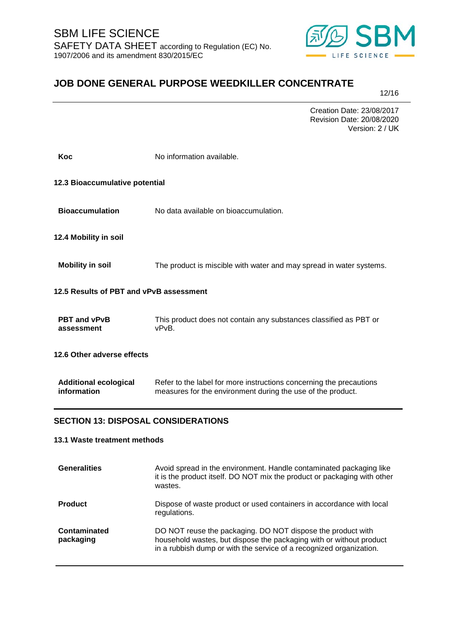

12/16

Creation Date: 23/08/2017 Revision Date: 20/08/2020 Version: 2 / UK

| Koc                                         | No information available.                                                                                                          |
|---------------------------------------------|------------------------------------------------------------------------------------------------------------------------------------|
| 12.3 Bioaccumulative potential              |                                                                                                                                    |
| <b>Bioaccumulation</b>                      | No data available on bioaccumulation.                                                                                              |
| 12.4 Mobility in soil                       |                                                                                                                                    |
| <b>Mobility in soil</b>                     | The product is miscible with water and may spread in water systems.                                                                |
| 12.5 Results of PBT and vPvB assessment     |                                                                                                                                    |
| <b>PBT and vPvB</b><br>assessment           | This product does not contain any substances classified as PBT or<br>vPvB.                                                         |
| 12.6 Other adverse effects                  |                                                                                                                                    |
| <b>Additional ecological</b><br>information | Refer to the label for more instructions concerning the precautions<br>measures for the environment during the use of the product. |
| <b>SECTION 13: DISPOSAL CONSIDERATIONS</b>  |                                                                                                                                    |
| 13.1 Waste treatment methods                |                                                                                                                                    |
| <b>Generalities</b>                         | Avoid spread in the environment. Handle contaminated packaging like                                                                |

| Generalities              | Avoid spread in the environment. Handle contaminated packaging like<br>it is the product itself. DO NOT mix the product or packaging with other<br>wastes.                                                |
|---------------------------|-----------------------------------------------------------------------------------------------------------------------------------------------------------------------------------------------------------|
| <b>Product</b>            | Dispose of waste product or used containers in accordance with local<br>regulations.                                                                                                                      |
| Contaminated<br>packaging | DO NOT reuse the packaging. DO NOT dispose the product with<br>household wastes, but dispose the packaging with or without product<br>in a rubbish dump or with the service of a recognized organization. |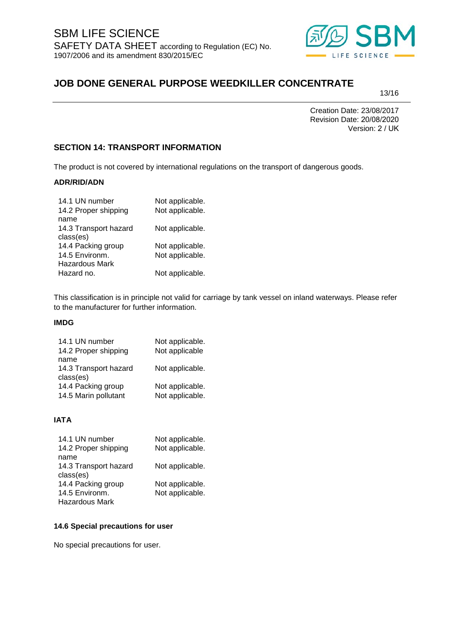

13/16

Creation Date: 23/08/2017 Revision Date: 20/08/2020 Version: 2 / UK

## **SECTION 14: TRANSPORT INFORMATION**

The product is not covered by international regulations on the transport of dangerous goods.

### **ADR/RID/ADN**

| 14.1 UN number        | Not applicable. |
|-----------------------|-----------------|
| 14.2 Proper shipping  | Not applicable. |
| name                  |                 |
| 14.3 Transport hazard | Not applicable. |
| class(es)             |                 |
| 14.4 Packing group    | Not applicable. |
| 14.5 Environm.        | Not applicable. |
| <b>Hazardous Mark</b> |                 |
| Hazard no.            | Not applicable. |
|                       |                 |

This classification is in principle not valid for carriage by tank vessel on inland waterways. Please refer to the manufacturer for further information.

### **IMDG**

| 14.1 UN number        | Not applicable. |
|-----------------------|-----------------|
| 14.2 Proper shipping  | Not applicable  |
| name                  |                 |
| 14.3 Transport hazard | Not applicable. |
| class(es)             |                 |
| 14.4 Packing group    | Not applicable. |
| 14.5 Marin pollutant  | Not applicable. |
|                       |                 |

### **IATA**

| 14.1 UN number        | Not applicable. |
|-----------------------|-----------------|
| 14.2 Proper shipping  | Not applicable. |
| name                  |                 |
| 14.3 Transport hazard | Not applicable. |
| class(es)             |                 |
| 14.4 Packing group    | Not applicable. |
| 14.5 Environm.        | Not applicable. |
| Hazardous Mark        |                 |

### **14.6 Special precautions for user**

No special precautions for user.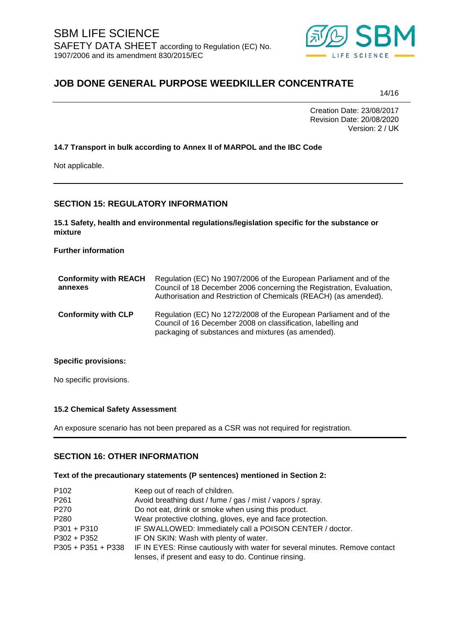

14/16

Creation Date: 23/08/2017 Revision Date: 20/08/2020 Version: 2 / UK

## **14.7 Transport in bulk according to Annex II of MARPOL and the IBC Code**

Not applicable.

## **SECTION 15: REGULATORY INFORMATION**

**15.1 Safety, health and environmental regulations/legislation specific for the substance or mixture** 

**Further information** 

| <b>Conformity with REACH</b><br>annexes | Regulation (EC) No 1907/2006 of the European Parliament and of the<br>Council of 18 December 2006 concerning the Registration, Evaluation,<br>Authorisation and Restriction of Chemicals (REACH) (as amended). |
|-----------------------------------------|----------------------------------------------------------------------------------------------------------------------------------------------------------------------------------------------------------------|
| <b>Conformity with CLP</b>              | Regulation (EC) No 1272/2008 of the European Parliament and of the<br>Council of 16 December 2008 on classification, labelling and<br>packaging of substances and mixtures (as amended).                       |

### **Specific provisions:**

No specific provisions.

### **15.2 Chemical Safety Assessment**

An exposure scenario has not been prepared as a CSR was not required for registration.

### **SECTION 16: OTHER INFORMATION**

### **Text of the precautionary statements (P sentences) mentioned in Section 2:**

| P <sub>102</sub>     | Keep out of reach of children.                                              |
|----------------------|-----------------------------------------------------------------------------|
| P261                 | Avoid breathing dust / fume / gas / mist / vapors / spray.                  |
| P270                 | Do not eat, drink or smoke when using this product.                         |
| P280                 | Wear protective clothing, gloves, eye and face protection.                  |
| P301 + P310          | IF SWALLOWED: Immediately call a POISON CENTER / doctor.                    |
| P302 + P352          | IF ON SKIN: Wash with plenty of water.                                      |
| $P305 + P351 + P338$ | IF IN EYES: Rinse cautiously with water for several minutes. Remove contact |
|                      | lenses, if present and easy to do. Continue rinsing.                        |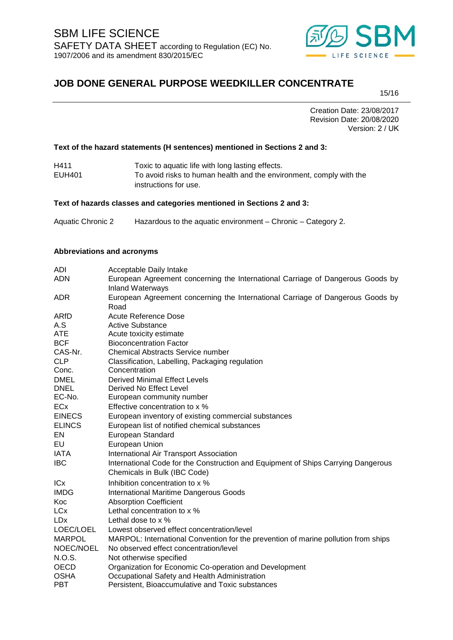

15/16

Creation Date: 23/08/2017 Revision Date: 20/08/2020 Version: 2 / UK

### **Text of the hazard statements (H sentences) mentioned in Sections 2 and 3:**

| H411   | Toxic to aquatic life with long lasting effects.                    |
|--------|---------------------------------------------------------------------|
| EUH401 | To avoid risks to human health and the environment, comply with the |
|        | instructions for use.                                               |

#### **Text of hazards classes and categories mentioned in Sections 2 and 3:**

Aquatic Chronic 2 Hazardous to the aquatic environment – Chronic – Category 2.

### **Abbreviations and acronyms**

| ADI           | Acceptable Daily Intake                                                            |
|---------------|------------------------------------------------------------------------------------|
| <b>ADN</b>    | European Agreement concerning the International Carriage of Dangerous Goods by     |
|               | <b>Inland Waterways</b>                                                            |
| <b>ADR</b>    | European Agreement concerning the International Carriage of Dangerous Goods by     |
|               | Road                                                                               |
| ARfD          | Acute Reference Dose                                                               |
| A.S           | <b>Active Substance</b>                                                            |
| <b>ATE</b>    | Acute toxicity estimate                                                            |
| <b>BCF</b>    | <b>Bioconcentration Factor</b>                                                     |
| CAS-Nr.       | <b>Chemical Abstracts Service number</b>                                           |
| <b>CLP</b>    | Classification, Labelling, Packaging regulation                                    |
| Conc.         | Concentration                                                                      |
| <b>DMEL</b>   | <b>Derived Minimal Effect Levels</b>                                               |
| <b>DNEL</b>   | Derived No Effect Level                                                            |
| EC-No.        | European community number                                                          |
| <b>ECx</b>    | Effective concentration to x %                                                     |
| <b>EINECS</b> | European inventory of existing commercial substances                               |
| <b>ELINCS</b> | European list of notified chemical substances                                      |
| EN            | European Standard                                                                  |
| EU            | European Union                                                                     |
| <b>IATA</b>   | International Air Transport Association                                            |
| <b>IBC</b>    | International Code for the Construction and Equipment of Ships Carrying Dangerous  |
|               | Chemicals in Bulk (IBC Code)                                                       |
| <b>ICx</b>    | Inhibition concentration to x %                                                    |
| <b>IMDG</b>   | <b>International Maritime Dangerous Goods</b>                                      |
| Koc           | <b>Absorption Coefficient</b>                                                      |
| LCx           | Lethal concentration to x %                                                        |
| <b>LDx</b>    | Lethal dose to $\times$ %                                                          |
| LOEC/LOEL     | Lowest observed effect concentration/level                                         |
| <b>MARPOL</b> | MARPOL: International Convention for the prevention of marine pollution from ships |
| NOEC/NOEL     | No observed effect concentration/level                                             |
| N.O.S.        | Not otherwise specified                                                            |
| <b>OECD</b>   | Organization for Economic Co-operation and Development                             |
| <b>OSHA</b>   | Occupational Safety and Health Administration                                      |
| <b>PBT</b>    | Persistent, Bioaccumulative and Toxic substances                                   |